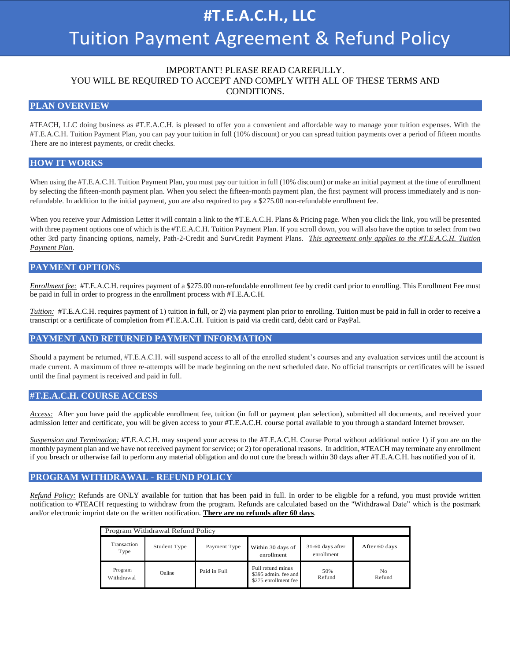# **#T.E.A.C.H., LLC** Tuition Payment Agreement & Refund Policy

# IMPORTANT! PLEASE READ CAREFULLY. YOU WILL BE REQUIRED TO ACCEPT AND COMPLY WITH ALL OF THESE TERMS AND CONDITIONS.

#### **PLAN OVERVIEW**

#TEACH, LLC doing business as #T.E.A.C.H. is pleased to offer you a convenient and affordable way to manage your tuition expenses. With the #T.E.A.C.H. Tuition Payment Plan, you can pay your tuition in full (10% discount) or you can spread tuition payments over a period of fifteen months There are no interest payments, or credit checks.

# **HOW IT WORKS**

When using the #T.E.A.C.H. Tuition Payment Plan, you must pay our tuition in full (10% discount) or make an initial payment at the time of enrollment by selecting the fifteen-month payment plan. When you select the fifteen-month payment plan, the first payment will process immediately and is nonrefundable. In addition to the initial payment, you are also required to pay a \$275.00 non-refundable enrollment fee.

When you receive your Admission Letter it will contain a link to the #T.E.A.C.H. Plans & Pricing page. When you click the link, you will be presented with three payment options one of which is the #T.E.A.C.H. Tuition Payment Plan. If you scroll down, you will also have the option to select from two other 3rd party financing options, namely, Path-2-Credit and SurvCredit Payment Plans. *This agreement only applies to the #T.E.A.C.H. Tuition Payment Plan*.

#### **PAYMENT OPTIONS**

*Enrollment fee:* #T.E.A.C.H. requires payment of a \$275.00 non-refundable enrollment fee by credit card prior to enrolling. This Enrollment Fee must be paid in full in order to progress in the enrollment process with #T.E.A.C.H.

*Tuition:* #T.E.A.C.H. requires payment of 1) tuition in full, or 2) via payment plan prior to enrolling. Tuition must be paid in full in order to receive a transcript or a certificate of completion from #T.E.A.C.H. Tuition is paid via credit card, debit card or PayPal.

#### **PAYMENT AND RETURNED PAYMENT INFORMATION**

Should a payment be returned, #T.E.A.C.H. will suspend access to all of the enrolled student's courses and any evaluation services until the account is made current. A maximum of three re-attempts will be made beginning on the next scheduled date. No official transcripts or certificates will be issued until the final payment is received and paid in full.

#### **#T.E.A.C.H. COURSE ACCESS**

*Access:* After you have paid the applicable enrollment fee, tuition (in full or payment plan selection), submitted all documents, and received your admission letter and certificate, you will be given access to your #T.E.A.C.H. course portal available to you through a standard Internet browser.

*Suspension and Termination:* #T.E.A.C.H. may suspend your access to the #T.E.A.C.H. Course Portal without additional notice 1) if you are on the monthly payment plan and we have not received payment for service; or 2) for operational reasons. In addition, #TEACH may terminate any enrollment if you breach or otherwise fail to perform any material obligation and do not cure the breach within 30 days after #T.E.A.C.H. has notified you of it.

# **PROGRAM WITHDRAWAL - REFUND POLICY**

*Refund Policy:* Refunds are ONLY available for tuition that has been paid in full. In order to be eligible for a refund, you must provide written notification to #TEACH requesting to withdraw from the program. Refunds are calculated based on the "Withdrawal Date" which is the postmark and/or electronic imprint date on the written notification. **There are no refunds after 60 days**.

| Program Withdrawal Refund Policy |              |              |                                                                   |                                |                          |  |  |  |  |
|----------------------------------|--------------|--------------|-------------------------------------------------------------------|--------------------------------|--------------------------|--|--|--|--|
| Transaction<br>Type              | Student Type | Payment Type | Within 30 days of<br>enrollment                                   | 31-60 days after<br>enrollment | After 60 days            |  |  |  |  |
| Program<br>Withdrawal            | Online       | Paid in Full | Full refund minus<br>\$395 admin. fee and<br>\$275 enrollment fee | 50%<br>Refund                  | N <sub>0</sub><br>Refund |  |  |  |  |